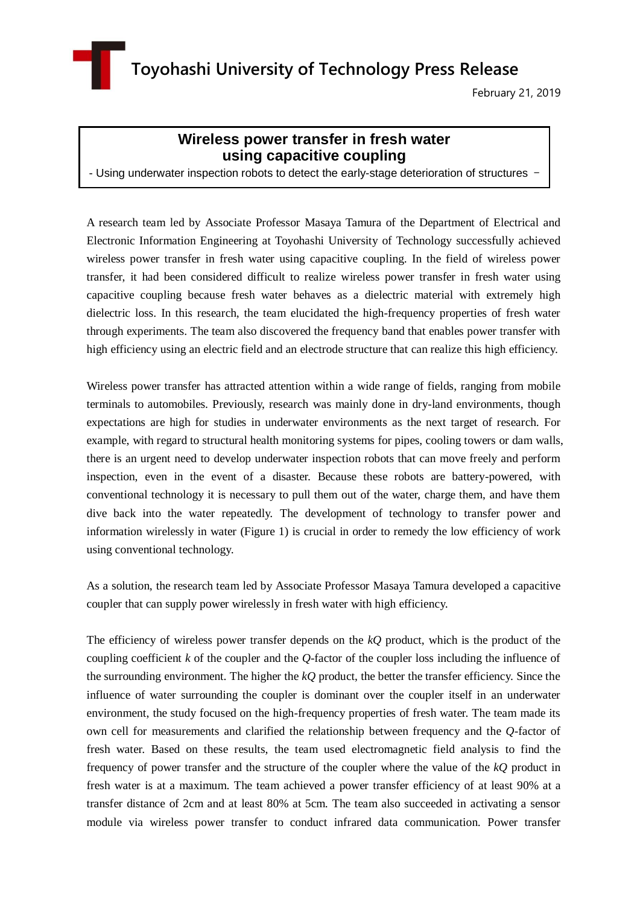**Toyohashi University of Technology Press Release**

February 21, 2019

## **Wireless power transfer in fresh water using capacitive coupling**

- Using underwater inspection robots to detect the early-stage deterioration of structures -

A research team led by Associate Professor Masaya Tamura of the Department of Electrical and Electronic Information Engineering at Toyohashi University of Technology successfully achieved wireless power transfer in fresh water using capacitive coupling. In the field of wireless power transfer, it had been considered difficult to realize wireless power transfer in fresh water using capacitive coupling because fresh water behaves as a dielectric material with extremely high dielectric loss. In this research, the team elucidated the high-frequency properties of fresh water through experiments. The team also discovered the frequency band that enables power transfer with high efficiency using an electric field and an electrode structure that can realize this high efficiency.

Wireless power transfer has attracted attention within a wide range of fields, ranging from mobile terminals to automobiles. Previously, research was mainly done in dry-land environments, though expectations are high for studies in underwater environments as the next target of research. For example, with regard to structural health monitoring systems for pipes, cooling towers or dam walls, there is an urgent need to develop underwater inspection robots that can move freely and perform inspection, even in the event of a disaster. Because these robots are battery-powered, with conventional technology it is necessary to pull them out of the water, charge them, and have them dive back into the water repeatedly. The development of technology to transfer power and information wirelessly in water (Figure 1) is crucial in order to remedy the low efficiency of work using conventional technology.

As a solution, the research team led by Associate Professor Masaya Tamura developed a capacitive coupler that can supply power wirelessly in fresh water with high efficiency.

The efficiency of wireless power transfer depends on the *kQ* product, which is the product of the coupling coefficient *k* of the coupler and the *Q*-factor of the coupler loss including the influence of the surrounding environment. The higher the *kQ* product, the better the transfer efficiency. Since the influence of water surrounding the coupler is dominant over the coupler itself in an underwater environment, the study focused on the high-frequency properties of fresh water. The team made its own cell for measurements and clarified the relationship between frequency and the *Q*-factor of fresh water. Based on these results, the team used electromagnetic field analysis to find the frequency of power transfer and the structure of the coupler where the value of the *kQ* product in fresh water is at a maximum. The team achieved a power transfer efficiency of at least 90% at a transfer distance of 2cm and at least 80% at 5cm. The team also succeeded in activating a sensor module via wireless power transfer to conduct infrared data communication. Power transfer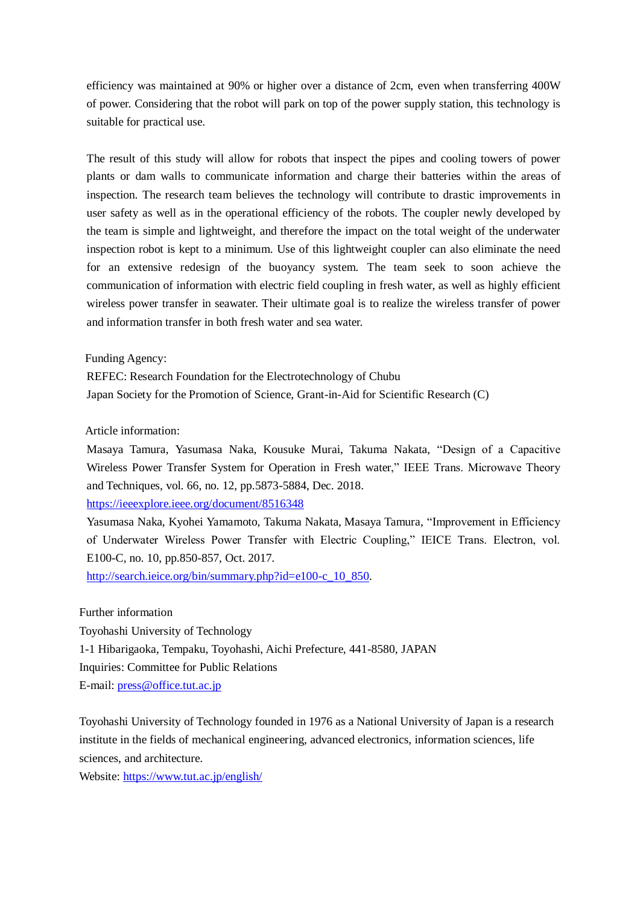efficiency was maintained at 90% or higher over a distance of 2cm, even when transferring 400W of power. Considering that the robot will park on top of the power supply station, this technology is suitable for practical use.

The result of this study will allow for robots that inspect the pipes and cooling towers of power plants or dam walls to communicate information and charge their batteries within the areas of inspection. The research team believes the technology will contribute to drastic improvements in user safety as well as in the operational efficiency of the robots. The coupler newly developed by the team is simple and lightweight, and therefore the impact on the total weight of the underwater inspection robot is kept to a minimum. Use of this lightweight coupler can also eliminate the need for an extensive redesign of the buoyancy system. The team seek to soon achieve the communication of information with electric field coupling in fresh water, as well as highly efficient wireless power transfer in seawater. Their ultimate goal is to realize the wireless transfer of power and information transfer in both fresh water and sea water.

Funding Agency:

REFEC: Research Foundation for the Electrotechnology of Chubu Japan Society for the Promotion of Science, Grant-in-Aid for Scientific Research (C)

Article information:

Masaya Tamura, Yasumasa Naka, Kousuke Murai, Takuma Nakata, "Design of a Capacitive Wireless Power Transfer System for Operation in Fresh water," IEEE Trans. Microwave Theory and Techniques, vol. 66, no. 12, pp.5873-5884, Dec. 2018.

<https://ieeexplore.ieee.org/document/8516348>

Yasumasa Naka, Kyohei Yamamoto, Takuma Nakata, Masaya Tamura, "Improvement in Efficiency of Underwater Wireless Power Transfer with Electric Coupling," IEICE Trans. Electron, vol. E100-C, no. 10, pp.850-857, Oct. 2017.

[http://search.ieice.org/bin/summary.php?id=e100-c\\_10\\_850.](http://search.ieice.org/bin/summary.php?id=e100-c_10_850)

Further information

Toyohashi University of Technology 1-1 Hibarigaoka, Tempaku, Toyohashi, Aichi Prefecture, 441-8580, JAPAN Inquiries: Committee for Public Relations E-mail: [press@office.tut.ac.jp](mailto:press@office.tut.ac.jp)

Toyohashi University of Technology founded in 1976 as a National University of Japan is a research institute in the fields of mechanical engineering, advanced electronics, information sciences, life sciences, and architecture.

Website:<https://www.tut.ac.jp/english/>